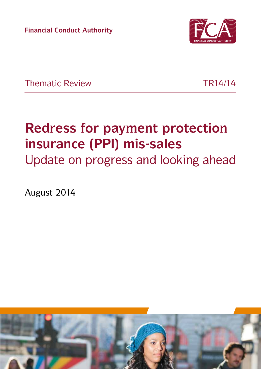**Financial Conduct Authority**



Thematic Review **TR14/14** 

# **Redress for payment protection insurance (PPI) mis-sales**

Update on progress and looking ahead

August 2014

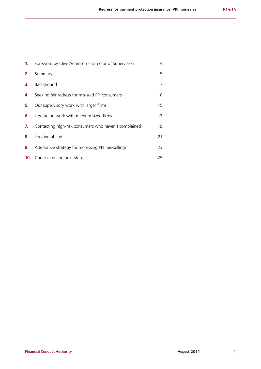| 1. | Foreword by Clive Adamson – Director of Supervision   | 4  |
|----|-------------------------------------------------------|----|
| 2. | Summary                                               | 5  |
| З. | Background                                            | 7  |
| 4. | Seeking fair redress for mis-sold PPI consumers       | 10 |
| 5. | Our supervisory work with larger firms                | 15 |
| 6. | Update on work with medium sized firms                | 17 |
| 7. | Contacting high-risk consumers who haven't complained | 19 |
| 8. | Looking ahead                                         | 21 |
| 9. | Alternative strategy for redressing PPI mis-selling?  | 23 |
|    | <b>10.</b> Conclusion and next steps                  | 25 |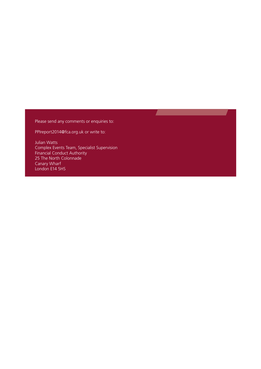Please send any comments or enquiries to:

**The Contract State** 

[PPIreport2014@fca.org.uk](mailto:PPIreport2014%40fca.org.uk?subject=) or write to:

Julian Watts Complex Events Team, Specialist Supervision Financial Conduct Authority 25 The North Colonnade Canary Wharf London E14 5HS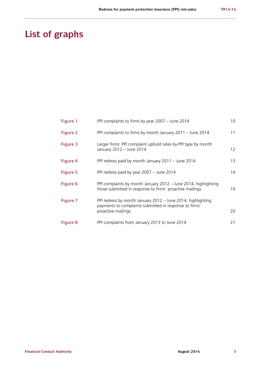# **List of graphs**

| Figure 1 | PPI complaints to firms by year 2007 - June 2014                                                                                            | 10 |
|----------|---------------------------------------------------------------------------------------------------------------------------------------------|----|
| Figure 2 | PPI complaints to firms by month January 2011 - June 2014                                                                                   | 11 |
| Figure 3 | Larger firms' PPI complaint uphold rates by PPI type by month<br>January 2012 - June 2014                                                   | 12 |
| Figure 4 | PPI redress paid by month January 2011 - June 2014                                                                                          | 13 |
| Figure 5 | PPI redress paid by year 2007 - June 2014                                                                                                   | 14 |
| Figure 6 | PPI complaints by month January 2012 - June 2014, highlighting<br>those submitted in response to firms' proactive mailings                  | 19 |
| Figure 7 | PPI redress by month January 2012 - June 2014, highlighting<br>payments to complaints submitted in response to firms'<br>proactive mailings | 20 |
| Figure 8 | PPI complaints from January 2013 to June 2014                                                                                               | 21 |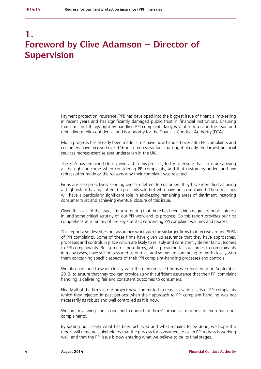### **1. Foreword by Clive Adamson – Director of Supervision**

Payment protection insurance (PPI) has developed into the biggest issue of financial mis-selling in recent years and has significantly damaged public trust in financial institutions. Ensuring that firms put things right by handling PPI complaints fairly is vital to resolving the issue and rebuilding public confidence, and is a priority for the Financial Conduct Authority (FCA).

Much progress has already been made. Firms have now handled over 13m PPI complaints and customers have received over £16bn in redress so far – making it already the largest financial services redress exercise ever undertaken in the UK.

The FCA has remained closely involved in this process, to try to ensure that firms are arriving at the right outcome when considering PPI complaints, and that customers understand any redress offer made or the reasons why their complaint was rejected.

Firms are also proactively sending over 5m letters to customers they have identified as being at high risk of having suffered a past mis-sale but who have not complained. These mailings will have a particularly significant role in addressing remaining areas of detriment, restoring consumer trust and achieving eventual closure of this issue.

Given the scale of the issue, it is unsurprising that there has been a high degree of public interest in, and some critical scrutiny of, our PPI work and its progress. So this report provides our first comprehensive summary of the key statistics concerning PPI complaint volumes and redress.

This report also describes our assurance work with the six larger firms that receive around 80% of PPI complaints. Some of these firms have given us assurance that they have approaches, processes and controls in place which are likely to reliably and consistently deliver fair outcomes to PPI complainants. But some of these firms, while providing fair outcomes to complainants in many cases, have still not assured us on this, and so we are continuing to work closely with them concerning specific aspects of their PPI complaint-handling processes and controls.

We also continue to work closely with the medium-sized firms we reported on in September 2013, to ensure that they too can provide us with sufficient assurance that their PPI complaint handling is delivering fair and consistent outcomes to consumers.

Nearly all of the firms in our project have committed to reassess various sets of PPI complaints which they rejected in past periods when their approach to PPI complaint handling was not necessarily as robust and well controlled as it is now.

We are reviewing the scope and conduct of firms' proactive mailings to high-risk noncomplainants.

By setting out clearly what has been achieved and what remains to be done, we hope this report will reassure stakeholders that the process for consumers to claim PPI redress is working well, and that the PPI issue is now entering what we believe to be its final stages.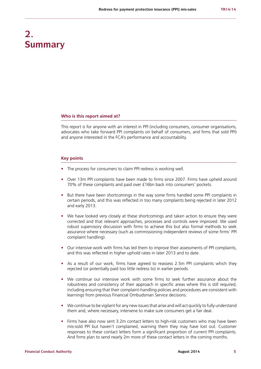## **2. Summary**

#### **Who is this report aimed at?**

This report is for anyone with an interest in PPI (including consumers, consumer organisations, advocates who take forward PPI complaints on behalf of consumers, and firms that sold PPI) and anyone interested in the FCA's performance and accountability.

#### **Key points**

- **•** The process for consumers to claim PPI redress is working well.
- **•** Over 13m PPI complaints have been made to firms since 2007. Firms have upheld around 70% of these complaints and paid over £16bn back into consumers' pockets.
- **•** But there have been shortcomings in the way some firms handled some PPI complaints in certain periods, and this was reflected in too many complaints being rejected in later 2012 and early 2013.
- **•** We have looked very closely at these shortcomings and taken action to ensure they were corrected and that relevant approaches, processes and controls were improved. We used robust supervisory discussion with firms to achieve this but also formal methods to seek assurance where necessary (such as commissioning independent reviews of some firms' PPI complaint handling).
- Our intensive work with firms has led them to improve their assessments of PPI complaints, and this was reflected in higher uphold rates in later 2013 and to date.
- **•** As a result of our work, firms have agreed to reassess 2.5m PPI complaints which they rejected (or potentially paid too little redress to) in earlier periods.
- **•** We continue our intensive work with some firms to seek further assurance about the robustness and consistency of their approach in specific areas where this is still required, including ensuring that their complaint-handling policies and procedures are consistent with learnings from previous Financial Ombudsman Service decisions.
- **•** We continue to be vigilant for any new issues that arise and will act quickly to fully understand them and, where necessary, intervene to make sure consumers get a fair deal.
- **•** Firms have also now sent 3.2m contact letters to high-risk customers who may have been mis-sold PPI but haven't complained, warning them they may have lost out. Customer responses to these contact letters form a significant proportion of current PPI complaints. And firms plan to send nearly 2m more of these contact letters in the coming months.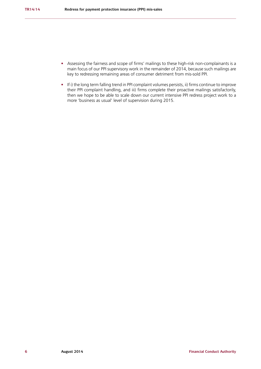- **•** Assessing the fairness and scope of firms' mailings to these high-risk non-complainants is a main focus of our PPI supervisory work in the remainder of 2014, because such mailings are key to redressing remaining areas of consumer detriment from mis-sold PPI.
- **•** If i) the long term falling trend in PPI complaint volumes persists, ii) firms continue to improve their PPI complaint handling, and iii) firms complete their proactive mailings satisfactorily, then we hope to be able to scale down our current intensive PPI redress project work to a more 'business as usual' level of supervision during 2015.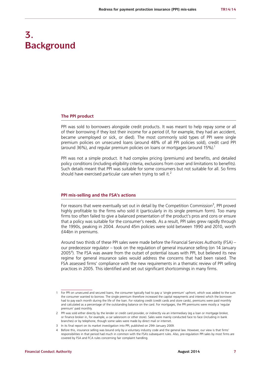## **3. Background**

#### **The PPI product**

PPI was sold to borrowers alongside credit products. It was meant to help repay some or all of their borrowing if they lost their income for a period (if, for example, they had an accident, became unemployed or sick, or died). The most commonly sold types of PPI were single premium policies on unsecured loans (around 48% of all PPI policies sold), credit card PPI (around 36%), and regular premium policies on loans or mortgages (around 15%).<sup>1</sup>

PPI was not a simple product. It had complex pricing (premiums) and benefits, and detailed policy conditions (including eligibility criteria, exclusions from cover and limitations to benefits). Such details meant that PPI was suitable for some consumers but not suitable for all. So firms should have exercised particular care when trying to sell it.<sup>2</sup>

#### **PPI mis-selling and the FSA's actions**

For reasons that were eventually set out in detail by the Competition Commission<sup>3</sup>, PPI proved highly profitable to the firms who sold it (particularly in its single premium form). Too many firms too often failed to give a balanced presentation of the product's pros and cons or ensure that a policy was suitable for the consumer's needs. As a result, PPI sales grew rapidly through the 1990s, peaking in 2004. Around 45m policies were sold between 1990 and 2010, worth £44bn in premiums.

Around two thirds of these PPI sales were made before the Financial Services Authority (FSA) – our predecessor regulator – took on the regulation of general insurance selling (on 14 January 2005<sup>4</sup>). The FSA was aware from the outset of potential issues with PPI, but believed its new regime for general insurance sales would address the concerns that had been raised. The FSA assessed firms' compliance with the new requirements in a thematic review of PPI selling practices in 2005. This identified and set out significant shortcomings in many firms.

<sup>1</sup> For PPI on unsecured and secured loans, the consumer typically had to pay a 'single premium' upfront, which was added to the sum the consumer wanted to borrow. The single premium therefore increased the capital repayments and interest which the borrower had to pay each month during the life of the loan. For rotating credit (credit cards and store cards), premiums were paid monthly and calculated as a percentage of the outstanding balance on the card. For mortgages, the PPI premiums were mostly a 'regular premium' paid monthly.

<sup>2</sup> PPI was sold either directly by the lender or credit card provider, or indirectly via an intermediary (eg a loan or mortgage broker, or finance broker in, for example, a car salesroom or other store). Sales were mainly conducted face to face (including in bank branches) or by telephone, though some sales were made by direct mail or internet.

<sup>3</sup> In its final report on its market investigation into PPI, published on 29th January 2009.

<sup>4</sup> Before this, insurance selling was bound only by a voluntary industry code and the general law. However, our view is that firms' responsibilities in that period had much in common with the FSA's subsequent rules. Also, pre-regulation PPI sales by most firms are covered by FSA and FCA rules concerning fair complaint handling.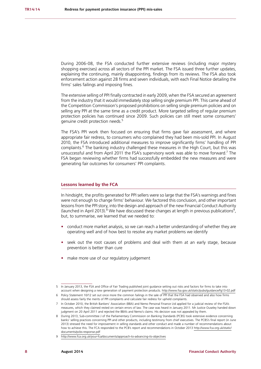During 2006-08, the FSA conducted further extensive reviews (including major mystery shopping exercises) across all sectors of the PPI market. The FSA issued three further updates, explaining the continuing, mainly disappointing, findings from its reviews. The FSA also took enforcement action against 28 firms and seven individuals, with each Final Notice detailing the firms' sales failings and imposing fines.

The extensive selling of PPI finally contracted in early 2009, when the FSA secured an agreement from the industry that it would immediately stop selling single premium PPI. This came ahead of the Competition Commission's proposed prohibitions on selling single premium policies and on selling any PPI at the same time as a credit product. More targeted selling of regular premium protection policies has continued since 2009. Such policies can still meet some consumers' genuine credit protection needs.<sup>5</sup>

The FSA's PPI work then focused on ensuring that firms gave fair assessment, and where appropriate fair redress, to consumers who complained they had been mis-sold PPI. In August 2010, the FSA introduced additional measures to improve significantly firms' handling of PPI complaints.<sup>6</sup> The banking industry challenged these measures in the High Court, but this was unsuccessful and from April 2011 the FSA's supervisory work was able to move forward.<sup>7</sup> The FSA began reviewing whether firms had successfully embedded the new measures and were generating fair outcomes for consumers' PPI complaints.

#### **Lessons learned by the FCA**

In hindsight, the profits generated for PPI sellers were so large that the FSA's warnings and fines were not enough to change firms' behaviour. We factored this conclusion, and other important lessons from the PPI story, into the design and approach of the new Financial Conduct Authority (launched in April 2013).<sup>8</sup> We have discussed these changes at length in previous publications<sup>9</sup>, but, to summarise, we learned that we needed to:

- **•** conduct more market analysis, so we can reach a better understanding of whether they are operating well and of how best to resolve any market problems we identify
- **•** seek out the root causes of problems and deal with them at an early stage, because prevention is better than cure
- **•** make more use of our regulatory judgement

<sup>5</sup> In January 2013, the FSA and Office of Fair Trading published joint guidance setting out risks and factors for firms to take into account when designing a new generation of payment protection products.<http://www.fsa.gov.uk/static/pubs/guidance/fg13-02.pdf>

<sup>6</sup> Policy Statement 10/12 set out once more the common failings in the sale of PPI that the FSA had observed and also how firms should assess fairly the merits of PPI complaints and calculate fair redress for upheld complaints.

<sup>7</sup> In October 2010, the British Bankers' Association (BBA) and Nemo Personal Finance Ltd applied for a judicial review of the FSA's measures, which they claimed rested on certain errors of law. The case was heard in January 2011. Mr Justice Ouseley handed down judgment on 20 April 2011 and rejected the BBA's and Nemo's claims. His decision was not appealed by them.

<sup>8</sup> During 2013, Sub-committee J of the Parliamentary Commission on Banking Standards (PCBS) took extensive evidence concerning banks' selling practices concerning PPI and other products, including testimony from chief executives. The PCBS's final report (in June 2013) stressed the need for improvement in selling standards and other conduct and made a number of recommendations about how to achieve this. The FCA responded to the PCB's report and recommendations in October 2013 [http://www.fca.org.uk/static/](http://www.fca.org.uk/static/documents/pcbs-response.pdf) [documents/pcbs-response.pdf](http://www.fca.org.uk/static/documents/pcbs-response.pdf)

<sup>9</sup> <http://www.fca.org.uk/your-fca/documents/approach-to-advancing-its-objectives>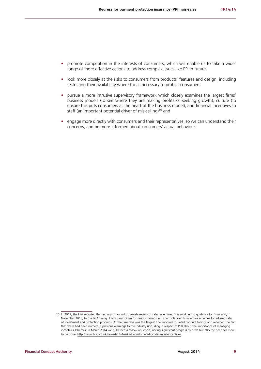- **•** promote competition in the interests of consumers, which will enable us to take a wider range of more effective actions to address complex issues like PPI in future
- look more closely at the risks to consumers from products' features and design, including restricting their availability where this is necessary to protect consumers
- **•** pursue a more intrusive supervisory framework which closely examines the largest firms' business models (to see where they are making profits or seeking growth), culture (to ensure this puts consumers at the heart of the business model), and financial incentives to staff (an important potential driver of mis-selling)<sup>10</sup> and
- engage more directly with consumers and their representatives, so we can understand their concerns, and be more informed about consumers' actual behaviour.

<sup>10</sup> In 2012, the FSA reported the findings of an industry-wide review of sales incentives. This work led to guidance for firms and, in November 2013, to the FCA fining Lloyds Bank £28m for serious failings in its controls over its incentive schemes for advised sales of investment and protection products. At the time this was the largest fine imposed for retail conduct failings and reflected the fact that there had been numerous previous warnings to the industry (including in respect of PPI) about the importance of managing incentives schemes. In March 2014 we published a follow-up report, noting significant progress by firms but also the need for more to be done: [http://www.fca.org.uk/news/tr14-4-risks-to-customers-from-financial-incentives.](http://www.fca.org.uk/news/tr14-4-risks-to-customers-from-financial-incentives)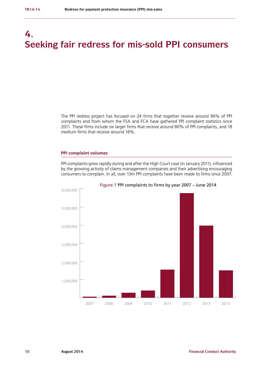# **4. Seeking fair redress for mis-sold PPI consumers**

The PPI redress project has focused on 24 firms that together receive around 96% of PPI complaints and from whom the FSA and FCA have gathered PPI complaint statistics since 2011. These firms include six larger firms that receive around 80% of PPI complaints, and 18 medium firms that receive around 16%.

#### **PPI complaint volumes**

PPI complaints grew rapidly during and after the High Court case (in January 2011), influenced by the growing activity of claims management companies and their advertising encouraging consumers to complain. In all, over 13m PPI complaints have been made to firms since 2007.



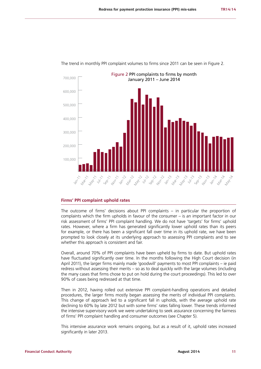

The trend in monthly PPI complaint volumes to firms since 2011 can be seen in Figure 2.

#### **Firms' PPI complaint uphold rates**

The outcome of firms' decisions about PPI complaints – in particular the proportion of complaints which the firm upholds in favour of the consumer – is an important factor in our risk assessment of firms' PPI complaint handling. We do not have 'targets' for firms' uphold rates. However, where a firm has generated significantly lower uphold rates than its peers for example, or there has been a significant fall over time in its uphold rate, we have been prompted to look closely at its underlying approach to assessing PPI complaints and to see whether this approach is consistent and fair.

Overall, around 70% of PPI complaints have been upheld by firms to date. But uphold rates have fluctuated significantly over time. In the months following the High Court decision (in April 2011), the larger firms mainly made 'goodwill' payments to most PPI complaints – ie paid redress without assessing their merits – so as to deal quickly with the large volumes (including the many cases that firms chose to put on hold during the court proceedings). This led to over 90% of cases being redressed at that time.

Then in 2012, having rolled out extensive PPI complaint-handling operations and detailed procedures, the larger firms mostly began assessing the merits of individual PPI complaints. This change of approach led to a significant fall in upholds, with the average uphold rate declining to 60% by late 2012 but with some firms' rates falling lower. These trends informed the intensive supervisory work we were undertaking to seek assurance concerning the fairness of firms' PPI complaint handling and consumer outcomes (see Chapter 5).

This intensive assurance work remains ongoing, but as a result of it, uphold rates increased significantly in later 2013.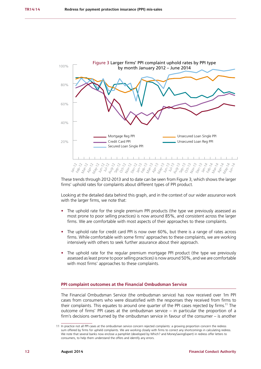

These trends through 2012-2013 and to date can be seen from Figure 3, which shows the larger firms' uphold rates for complaints about different types of PPI product.

Looking at the detailed data behind this graph, and in the context of our wider assurance work with the larger firms, we note that:

- **•** The uphold rate for the single premium PPI products (the type we previously assessed as most prone to poor selling practices) is now around 85%, and consistent across the larger firms. We are comfortable with most aspects of their approaches to these complaints.
- **•** The uphold rate for credit card PPI is now over 60%, but there is a range of rates across firms. While comfortable with some firms' approaches to these complaints, we are working intensively with others to seek further assurance about their approach.
- **•** The uphold rate for the regular premium mortgage PPI product (the type we previously assessed as least prone to poor selling practices) is now around 50%, and we are comfortable with most firms' approaches to these complaints.

#### **PPI complaint outcomes at the Financial Ombudsman Service**

The Financial Ombudsman Service (the ombudsman service) has now received over 1m PPI cases from consumers who were dissatisfied with the responses they received from firms to their complaints. This equates to around one quarter of the PPI cases rejected by firms.<sup>11</sup> The outcome of firms' PPI cases at the ombudsman service – in particular the proportion of a firm's decisions overturned by the ombudsman service in favour of the consumer – is another

<sup>11</sup> In practice not all PPI cases at the ombudsman service concern rejected complaints: a growing proportion concern the redress sum offered by firms for upheld complaints. We are working closely with firms to correct any shortcomings in calculating redress. We note that several banks now enclose a pamphlet (developed by Which? and MoneySavingExpert) in redress offer letters to consumers, to help them understand the offers and identify any errors.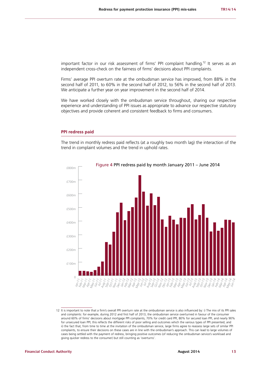important factor in our risk assessment of firms' PPI complaint handling.<sup>12</sup> It serves as an independent cross-check on the fairness of firms' decisions about PPI complaints.

Firms' average PPI overturn rate at the ombudsman service has improved, from 88% in the second half of 2011, to 60% in the second half of 2012, to 56% in the second half of 2013. We anticipate a further year on year improvement in the second half of 2014.

We have worked closely with the ombudsman service throughout, sharing our respective experience and understanding of PPI issues as appropriate to advance our respective statutory objectives and provide coherent and consistent feedback to firms and consumers.

#### **PPI redress paid**

The trend in monthly redress paid reflects (at a roughly two month lag) the interaction of the trend in complaint volumes and the trend in uphold rates.



12 It is important to note that a firm's overall PPI overturn rate at the ombudsman service is also influenced by: i) The mix of its PPI sales and complaints: for example, during 2012 and first half of 2013, the ombudsman service overturned in favour of the consumer around 60% of firms' decisions about mortgage PPI complaints, 70% for credit card PPI, 80% for secured loan PPI, and nearly 90% for unsecured loan PPI; this reflects the different risks of poor selling and outcomes which the various types of PPI presented; and ii) the fact that, from time to time at the invitation of the ombudsman service, large firms agree to reassess large sets of similar PPI complaints, to ensure their decisions on these cases are in line with the ombudsman's approach. This can lead to large volumes of cases being settled with the payment of redress, bringing positive outcomes (of reducing the ombudsman service's workload and giving quicker redress to the consumer) but still counting as 'overturns'.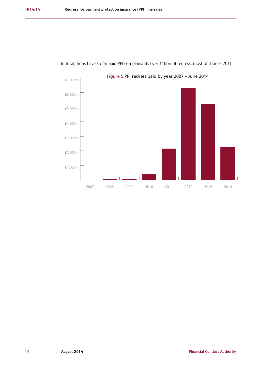

In total, firms have so far paid PPI complainants over £16bn of redress, most of it since 2011.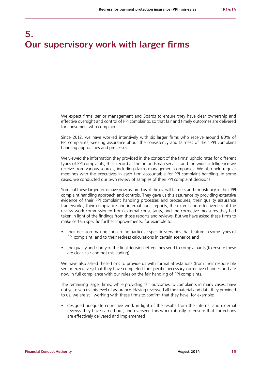# **5. Our supervisory work with larger firms**

We expect firms' senior management and Boards to ensure they have clear ownership and effective oversight and control of PPI complaints, so that fair and timely outcomes are delivered for consumers who complain.

Since 2012, we have worked intensively with six larger firms who receive around 80% of PPI complaints, seeking assurance about the consistency and fairness of their PPI complaint handling approaches and processes.

We viewed the information they provided in the context of the firms' uphold rates for different types of PPI complaints, their record at the ombudsman service, and the wider intelligence we receive from various sources, including claims management companies. We also held regular meetings with the executives in each firm accountable for PPI complaint handling. In some cases, we conducted our own review of samples of their PPI complaint decisions.

Some of these larger firms have now assured us of the overall fairness and consistency of their PPI complaint handling approach and controls. They gave us this assurance by providing extensive evidence of their PPI complaint handling processes and procedures, their quality assurance frameworks, their compliance and internal audit reports, the extent and effectiveness of the review work commissioned from external consultants, and the corrective measures they had taken in light of the findings from those reports and reviews. But we have asked these firms to make certain specific further improvements, for example to:

- **•** their decision-making concerning particular specific scenarios that feature in some types of PPI complaint, and to their redress calculations in certain scenarios and
- the quality and clarity of the final decision letters they send to complainants (to ensure these are clear, fair and not misleading).

We have also asked these firms to provide us with formal attestations (from their responsible senior executives) that they have completed the specific necessary corrective changes and are now in full compliance with our rules on the fair handling of PPI complaints.

The remaining larger firms, while providing fair outcomes to complaints in many cases, have not yet given us this level of assurance. Having reviewed all the material and data they provided to us, we are still working with these firms to confirm that they have, for example:

**•** designed adequate corrective work in light of the results from the internal and external reviews they have carried out, and overseen this work robustly to ensure that corrections are effectively delivered and implemented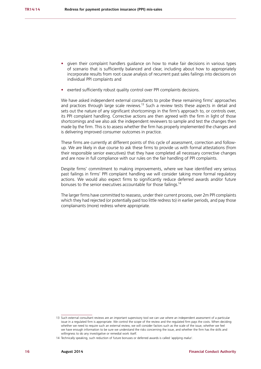- **•** given their complaint handlers guidance on how to make fair decisions in various types of scenario that is sufficiently balanced and clear, including about how to appropriately incorporate results from root cause analysis of recurrent past sales failings into decisions on individual PPI complaints and
- **•** exerted sufficiently robust quality control over PPI complaints decisions.

We have asked independent external consultants to probe these remaining firms' approaches and practices through large scale reviews.<sup>13</sup> Such a review tests these aspects in detail and sets out the nature of any significant shortcomings in the firm's approach to, or controls over, its PPI complaint handling. Corrective actions are then agreed with the firm in light of those shortcomings and we also ask the independent reviewers to sample and test the changes then made by the firm. This is to assess whether the firm has properly implemented the changes and is delivering improved consumer outcomes in practice.

These firms are currently at different points of this cycle of assessment, correction and followup. We are likely in due course to ask these firms to provide us with formal attestations (from their responsible senior executives) that they have completed all necessary corrective changes and are now in full compliance with our rules on the fair handling of PPI complaints.

Despite firms' commitment to making improvements, where we have identified very serious past failings in firms' PPI complaint handling we will consider taking more formal regulatory actions. We would also expect firms to significantly reduce deferred awards and/or future bonuses to the senior executives accountable for those failings.<sup>14</sup>

The larger firms have committed to reassess, under their current process, over 2m PPI complaints which they had rejected (or potentially paid too little redress to) in earlier periods, and pay those complainants (more) redress where appropriate.

<sup>13</sup> Such external consultant reviews are an important supervisory tool we can use where an independent assessment of a particular issue in a regulated firm is appropriate. We control the scope of the review and the regulated firm pays the costs. When deciding whether we need to require such an external review, we will consider factors such as the scale of the issue, whether we feel we have enough information to be sure we understand the risks concerning the issue, and whether the firm has the skills and willingness to do any investigative or remedial work itself.

<sup>14</sup> Technically speaking, such reduction of future bonuses or deferred awards is called 'applying *malus*'.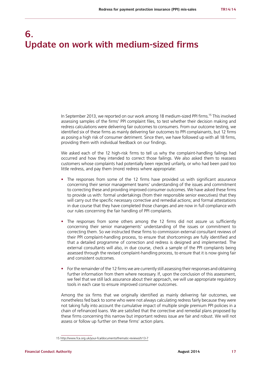# **6. Update on work with medium-sized firms**

In September 2013, we reported on our work among 18 medium-sized PPI firms.15 This involved assessing samples of the firms' PPI complaint files, to test whether their decision making and redress calculations were delivering fair outcomes to consumers. From our outcome testing, we identified six of these firms as mainly delivering fair outcomes to PPI complainants, but 12 firms as posing a high risk of consumer detriment. Since then, we have followed up with all 18 firms, providing them with individual feedback on our findings.

We asked each of the 12 high-risk firms to tell us why the complaint-handling failings had occurred and how they intended to correct those failings. We also asked them to reassess customers whose complaints had potentially been rejected unfairly, or who had been paid too little redress, and pay them (more) redress where appropriate:

- **•** The responses from some of the 12 firms have provided us with significant assurance concerning their senior management teams' understanding of the issues and commitment to correcting these and providing improved consumer outcomes. We have asked these firms to provide us with: formal undertakings (from their responsible senior executives) that they will carry out the specific necessary corrective and remedial actions; and formal attestations in due course that they have completed those changes and are now in full compliance with our rules concerning the fair handling of PPI complaints.
- **•** The responses from some others among the 12 firms did not assure us sufficiently concerning their senior managements' understanding of the issues or commitment to correcting them. So we instructed these firms to commission external consultant reviews of their PPI complaint-handling process, to ensure that shortcomings are fully identified and that a detailed programme of correction and redress is designed and implemented. The external consultants will also, in due course, check a sample of the PPI complaints being assessed through the revised complaint-handling process, to ensure that it is now giving fair and consistent outcomes.
- For the remainder of the 12 firms we are currently still assessing their responses and obtaining further information from them where necessary. If, upon the conclusion of this assessment, we feel that we still lack assurance about their approach, we will use appropriate regulatory tools in each case to ensure improved consumer outcomes.

Among the six firms that we originally identified as mainly delivering fair outcomes, we nonetheless fed back to some who were not always calculating redress fairly because they were not taking fully into account the cumulative impact of multiple single premium PPI policies in a chain of refinanced loans. We are satisfied that the corrective and remedial plans proposed by these firms concerning this narrow but important redress issue are fair and robust. We will not assess or follow up further on these firms' action plans.

<sup>15</sup> <http://www.fca.org.uk/your-fca/documents/thematic-reviews/tr13-7>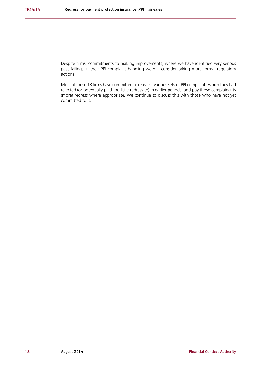Despite firms' commitments to making improvements, where we have identified very serious past failings in their PPI complaint handling we will consider taking more formal regulatory actions.

Most of these 18 firms have committed to reassess various sets of PPI complaints which they had rejected (or potentially paid too little redress to) in earlier periods, and pay those complainants (more) redress where appropriate. We continue to discuss this with those who have not yet committed to it.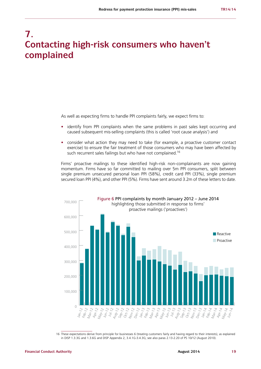### **7. Contacting high-risk consumers who haven't complained**

As well as expecting firms to handle PPI complaints fairly, we expect firms to:

- identify from PPI complaints when the same problems in past sales kept occurring and caused subsequent mis-selling complaints (this is called 'root cause analysis') and
- **•** consider what action they may need to take (for example, a proactive customer contact exercise) to ensure the fair treatment of those consumers who may have been affected by such recurrent sales failings but who have not complained.<sup>16</sup>

Firms' proactive mailings to these identified high-risk non-complainants are now gaining momentum. Firms have so far committed to mailing over 5m PPI consumers, split between single premium unsecured personal loan PPI (58%), credit card PPI (33%), single premium secured loan PPI (4%), and other PPI (5%). Firms have sent around 3.2m of these letters to date.



16 These expectations derive from principle for businesses 6 (treating customers fairly and having regard to their interests), as explained in DISP 1.3.3G and 1.3.6G and DISP Appendix 2, 3.4.1G-3.4.3G; see also paras 2.13-2.20 of PS 10/12 (August 2010).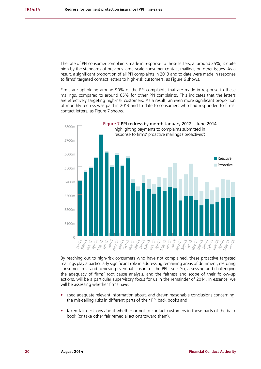The rate of PPI consumer complaints made in response to these letters, at around 35%, is quite high by the standards of previous large-scale consumer contact mailings on other issues. As a result, a significant proportion of all PPI complaints in 2013 and to date were made in response to firms' targeted contact letters to high-risk customers, as Figure 6 shows.

Firms are upholding around 90% of the PPI complaints that are made in response to these mailings, compared to around 65% for other PPI complaints. This indicates that the letters are effectively targeting high-risk customers. As a result, an even more significant proportion of monthly redress was paid in 2013 and to date to consumers who had responded to firms' contact letters, as Figure 7 shows.



By reaching out to high-risk consumers who have not complained, these proactive targeted mailings play a particularly significant role in addressing remaining areas of detriment, restoring consumer trust and achieving eventual closure of the PPI issue. So, assessing and challenging the adequacy of firms' root cause analysis, and the fairness and scope of their follow-up actions, will be a particular supervisory focus for us in the remainder of 2014. In essence, we will be assessing whether firms have:

- **•** used adequate relevant information about, and drawn reasonable conclusions concerning, the mis-selling risks in different parts of their PPI back books and
- **•** taken fair decisions about whether or not to contact customers in those parts of the back book (or take other fair remedial actions toward them).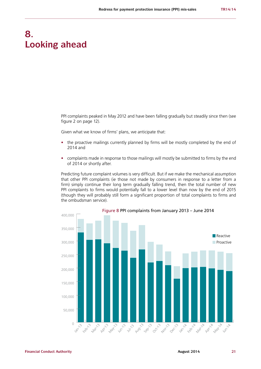### **8. Looking ahead**

PPI complaints peaked in May 2012 and have been falling gradually but steadily since then (see figure 2 on page 12).

Given what we know of firms' plans, we anticipate that:

- the proactive mailings currently planned by firms will be mostly completed by the end of 2014 and
- **•** complaints made in response to those mailings will mostly be submitted to firms by the end of 2014 or shortly after.

Predicting future complaint volumes is very difficult. But if we make the mechanical assumption that other PPI complaints (ie those not made by consumers in response to a letter from a firm) simply continue their long term gradually falling trend, then the total number of new PPI complaints to firms would potentially fall to a lower level than now by the end of 2015 (though they will probably still form a significant proportion of total complaints to firms and the ombudsman service).

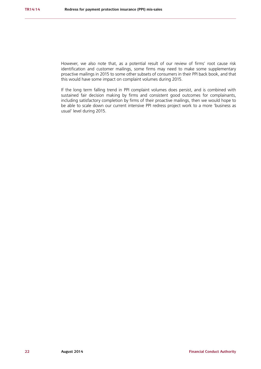However, we also note that, as a potential result of our review of firms' root cause risk identification and customer mailings, some firms may need to make some supplementary proactive mailings in 2015 to some other subsets of consumers in their PPI back book, and that this would have some impact on complaint volumes during 2015.

If the long term falling trend in PPI complaint volumes does persist, and is combined with sustained fair decision making by firms and consistent good outcomes for complainants, including satisfactory completion by firms of their proactive mailings, then we would hope to be able to scale down our current intensive PPI redress project work to a more 'business as usual' level during 2015.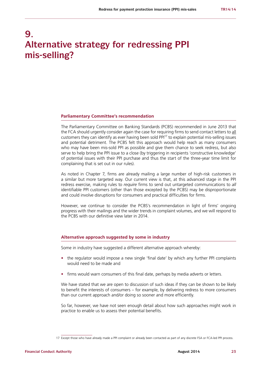# **9. Alternative strategy for redressing PPI mis-selling?**

#### **Parliamentary Committee's recommendation**

The Parliamentary Committee on Banking Standards (PCBS) recommended in June 2013 that the FCA should urgently consider again the case for requiring firms to send contact letters to all customers they can identify as ever having been sold PPI17 to explain potential mis-selling issues and potential detriment. The PCBS felt this approach would help reach as many consumers who may have been mis-sold PPI as possible and give them chance to seek redress, but also serve to help bring the PPI issue to a close (by triggering in recipients 'constructive knowledge' of potential issues with their PPI purchase and thus the start of the three-year time limit for complaining that is set out in our rules).

As noted in Chapter 7, firms are already mailing a large number of high-risk customers in a similar but more targeted way. Our current view is that, at this advanced stage in the PPI redress exercise, making rules to *require* firms to send out untargeted communications to *all* identifiable PPI customers (other than those excepted by the PCBS) may be disproportionate and could involve disruptions for consumers and practical difficulties for firms.

However, we continue to consider the PCBS's recommendation in light of firms' ongoing progress with their mailings and the wider trends in complaint volumes, and we will respond to the PCBS with our definitive view later in 2014.

#### **Alternative approach suggested by some in industry**

Some in industry have suggested a different alternative approach whereby:

- **•** the regulator would impose a new single 'final date' by which any further PPI complaints would need to be made and
- **•** firms would warn consumers of this final date, perhaps by media adverts or letters.

We have stated that we are open to discussion of such ideas if they can be shown to be likely to benefit the interests of consumers – for example, by delivering redress to more consumers than our current approach and/or doing so sooner and more efficiently.

So far, however, we have not seen enough detail about how such approaches might work in practice to enable us to assess their potential benefits.

<sup>17</sup> Except those who have already made a PPI complaint or already been contacted as part of any discrete FSA or FCA-led PPI process.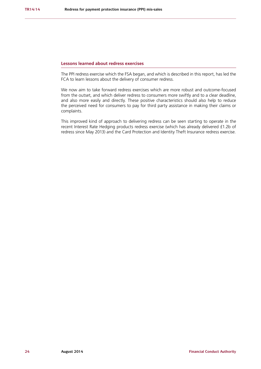#### **Lessons learned about redress exercises**

The PPI redress exercise which the FSA began, and which is described in this report, has led the FCA to learn lessons about the delivery of consumer redress.

We now aim to take forward redress exercises which are more robust and outcome-focused from the outset, and which deliver redress to consumers more swiftly and to a clear deadline, and also more easily and directly. These positive characteristics should also help to reduce the perceived need for consumers to pay for third party assistance in making their claims or complaints.

This improved kind of approach to delivering redress can be seen starting to operate in the recent Interest Rate Hedging products redress exercise (which has already delivered £1.2b of redress since May 2013) and the Card Protection and Identity Theft Insurance redress exercise.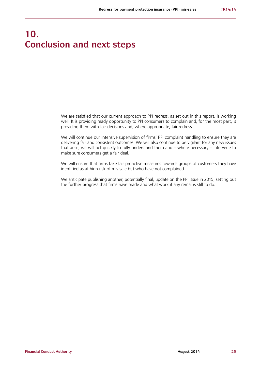# **10. Conclusion and next steps**

We are satisfied that our current approach to PPI redress, as set out in this report, is working well. It is providing ready opportunity to PPI consumers to complain and, for the most part, is providing them with fair decisions and, where appropriate, fair redress.

We will continue our intensive supervision of firms' PPI complaint handling to ensure they are delivering fair and consistent outcomes. We will also continue to be vigilant for any new issues that arise; we will act quickly to fully understand them and – where necessary – intervene to make sure consumers get a fair deal.

We will ensure that firms take fair proactive measures towards groups of customers they have identified as at high risk of mis-sale but who have not complained.

We anticipate publishing another, potentially final, update on the PPI issue in 2015, setting out the further progress that firms have made and what work if any remains still to do.